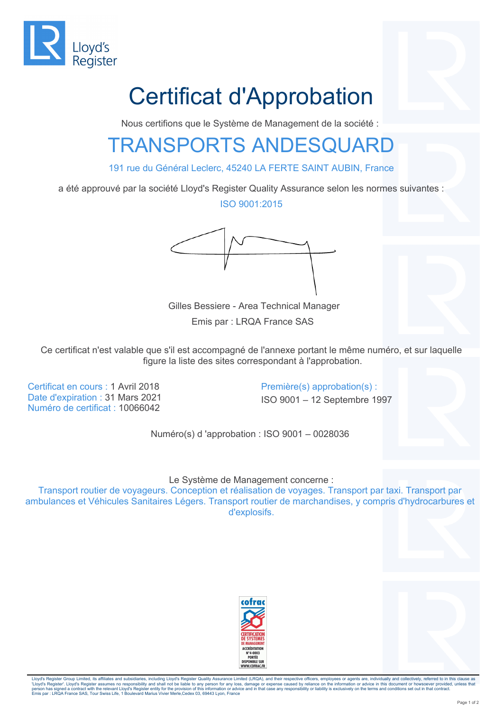

## Certificat d'Approbation

Nous certifions que le Système de Management de la société :

## TRANSPORTS ANDESQUARD

191 rue du Général Leclerc, 45240 LA FERTE SAINT AUBIN, France

a été approuvé par la société Lloyd's Register Quality Assurance selon les normes suivantes :

ISO 9001:2015



 Gilles Bessiere - Area Technical Manager Emis par : LRQA France SAS

Ce certificat n'est valable que s'il est accompagné de l'annexe portant le même numéro, et sur laquelle figure la liste des sites correspondant à l'approbation.

Certificat en cours : 1 Avril 2018 Première(s) approbation(s) : Date d'expiration : 31 Mars 2021 ISO 9001 – 12 Septembre 1997 Numéro de certificat : 10066042

Numéro(s) d 'approbation : ISO 9001 – 0028036

Le Système de Management concerne :

Transport routier de voyageurs. Conception et réalisation de voyages. Transport par taxi. Transport par ambulances et Véhicules Sanitaires Légers. Transport routier de marchandises, y compris d'hydrocarbures et d'explosifs.





Lloyd's Register Group Limited, its affiliates and subsidiaries, including Lloyd's Register Quality Assurance Limited (LRQA), and their respective officers, employees or agents are, individually and collectively, referred